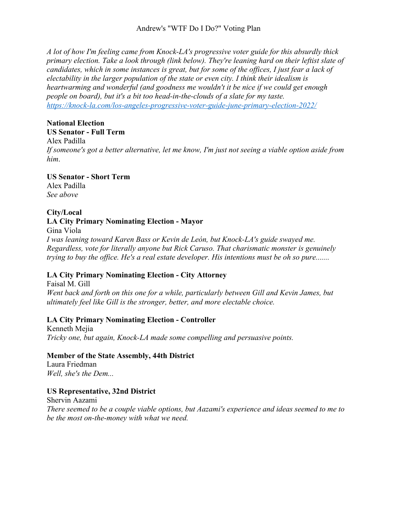*A lot of how I'm feeling came from Knock-LA's progressive voter guide for this absurdly thick primary election. Take a look through (link below). They're leaning hard on their leftist slate of candidates, which in some instances is great, but for some of the offices, I just fear a lack of electability in the larger population of the state or even city. I think their idealism is heartwarming and wonderful (and goodness me wouldn't it be nice if we could get enough people on board), but it's a bit too head-in-the-clouds of a slate for my taste. https://knock-la.com/los-angeles-progressive-voter-guide-june-primary-election-2022/*

# **National Election**

**US Senator - Full Term** Alex Padilla

*If someone's got a better alternative, let me know, I'm just not seeing a viable option aside from him*.

#### **US Senator - Short Term** Alex Padilla *See above*

# **City/Local**

## **LA City Primary Nominating Election - Mayor**

Gina Viola *I was leaning toward Karen Bass or Kevin de León, but Knock-LA's guide swayed me. Regardless, vote for literally anyone but Rick Caruso. That charismatic monster is genuinely trying to buy the office. He's a real estate developer. His intentions must be oh so pure.......*

# **LA City Primary Nominating Election - City Attorney**

Faisal M. Gill *Went back and forth on this one for a while, particularly between Gill and Kevin James, but ultimately feel like Gill is the stronger, better, and more electable choice.*

# **LA City Primary Nominating Election - Controller**

Kenneth Mejia *Tricky one, but again, Knock-LA made some compelling and persuasive points.*

## **Member of the State Assembly, 44th District**

Laura Friedman *Well, she's the Dem...*

# **US Representative, 32nd District**

Shervin Aazami *There seemed to be a couple viable options, but Aazami's experience and ideas seemed to me to be the most on-the-money with what we need.*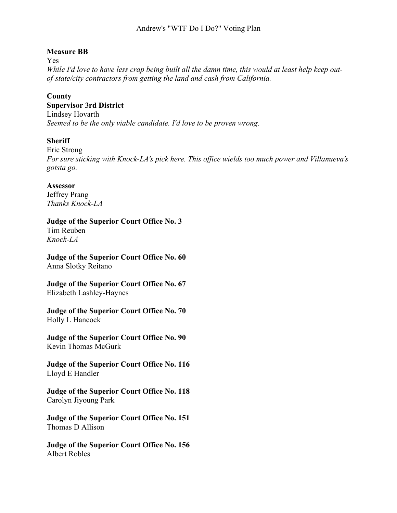## **Measure BB**

Yes

*While I'd love to have less crap being built all the damn time, this would at least help keep outof-state/city contractors from getting the land and cash from California.*

## **County**

**Supervisor 3rd District**

Lindsey Hovarth

*Seemed to be the only viable candidate. I'd love to be proven wrong.*

## **Sheriff**

Eric Strong *For sure sticking with Knock-LA's pick here. This office wields too much power and Villanueva's gotsta go.*

#### **Assessor**

Jeffrey Prang *Thanks Knock-LA*

**Judge of the Superior Court Office No. 3** Tim Reuben *Knock-LA*

**Judge of the Superior Court Office No. 60** Anna Slotky Reitano

**Judge of the Superior Court Office No. 67** Elizabeth Lashley-Haynes

**Judge of the Superior Court Office No. 70** Holly L Hancock

**Judge of the Superior Court Office No. 90** Kevin Thomas McGurk

**Judge of the Superior Court Office No. 116** Lloyd E Handler

**Judge of the Superior Court Office No. 118** Carolyn Jiyoung Park

**Judge of the Superior Court Office No. 151** Thomas D Allison

**Judge of the Superior Court Office No. 156** Albert Robles